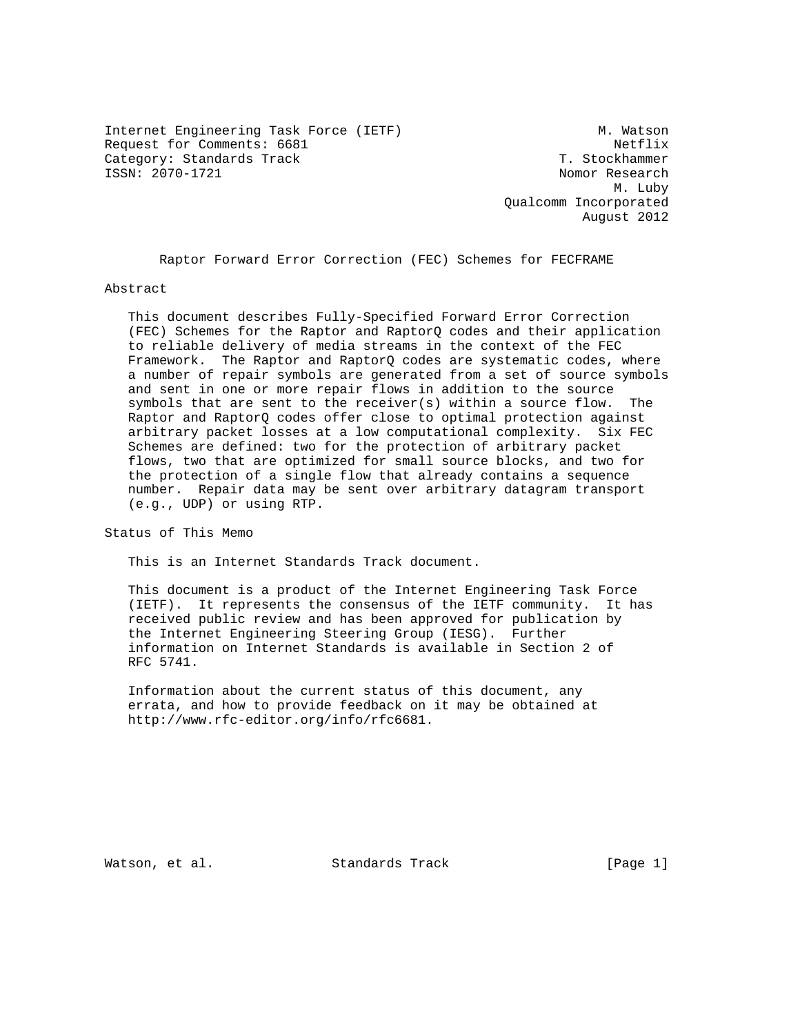Internet Engineering Task Force (IETF) M. Watson Request for Comments: 6681 Netflix Category: Standards Track T. Stockhammer<br>
ISSN: 2070-1721<br>
Nomor Research

Nomor Research M. Luby Qualcomm Incorporated August 2012

Raptor Forward Error Correction (FEC) Schemes for FECFRAME

Abstract

 This document describes Fully-Specified Forward Error Correction (FEC) Schemes for the Raptor and RaptorQ codes and their application to reliable delivery of media streams in the context of the FEC Framework. The Raptor and RaptorQ codes are systematic codes, where a number of repair symbols are generated from a set of source symbols and sent in one or more repair flows in addition to the source symbols that are sent to the receiver(s) within a source flow. The Raptor and RaptorQ codes offer close to optimal protection against arbitrary packet losses at a low computational complexity. Six FEC Schemes are defined: two for the protection of arbitrary packet flows, two that are optimized for small source blocks, and two for the protection of a single flow that already contains a sequence number. Repair data may be sent over arbitrary datagram transport (e.g., UDP) or using RTP.

Status of This Memo

This is an Internet Standards Track document.

 This document is a product of the Internet Engineering Task Force (IETF). It represents the consensus of the IETF community. It has received public review and has been approved for publication by the Internet Engineering Steering Group (IESG). Further information on Internet Standards is available in Section 2 of RFC 5741.

 Information about the current status of this document, any errata, and how to provide feedback on it may be obtained at http://www.rfc-editor.org/info/rfc6681.

Watson, et al. Standards Track [Page 1]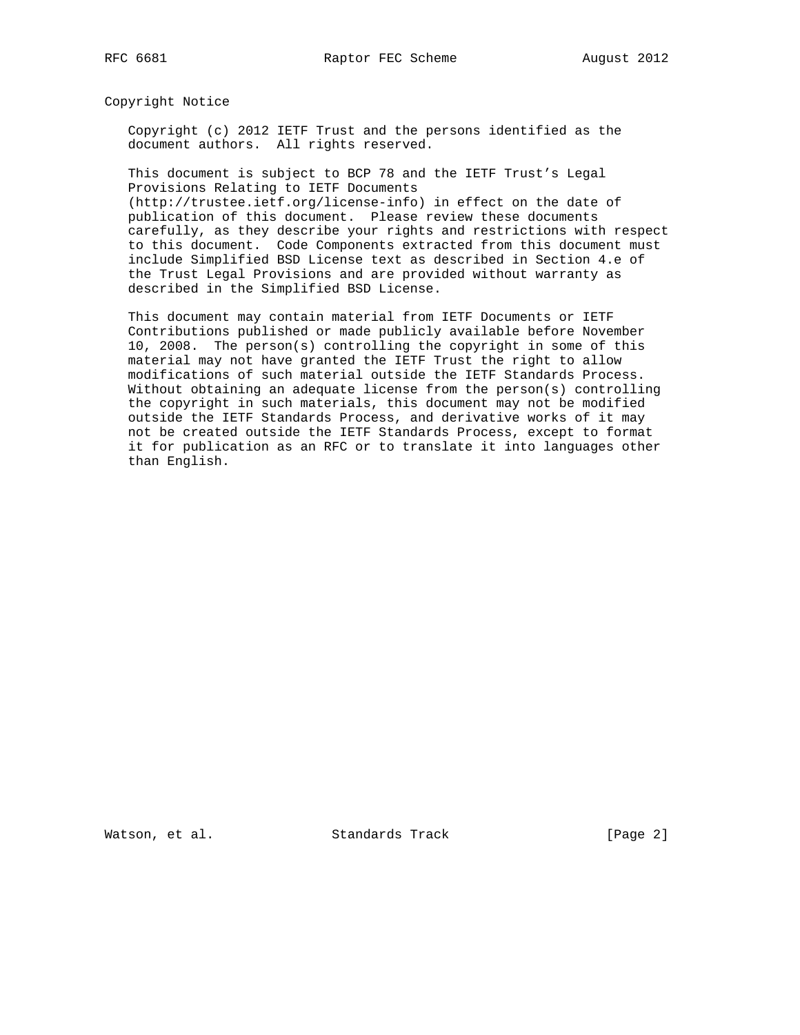Copyright Notice

 Copyright (c) 2012 IETF Trust and the persons identified as the document authors. All rights reserved.

 This document is subject to BCP 78 and the IETF Trust's Legal Provisions Relating to IETF Documents

 (http://trustee.ietf.org/license-info) in effect on the date of publication of this document. Please review these documents carefully, as they describe your rights and restrictions with respect to this document. Code Components extracted from this document must include Simplified BSD License text as described in Section 4.e of the Trust Legal Provisions and are provided without warranty as described in the Simplified BSD License.

 This document may contain material from IETF Documents or IETF Contributions published or made publicly available before November 10, 2008. The person(s) controlling the copyright in some of this material may not have granted the IETF Trust the right to allow modifications of such material outside the IETF Standards Process. Without obtaining an adequate license from the person(s) controlling the copyright in such materials, this document may not be modified outside the IETF Standards Process, and derivative works of it may not be created outside the IETF Standards Process, except to format it for publication as an RFC or to translate it into languages other than English.

Watson, et al. Standards Track [Page 2]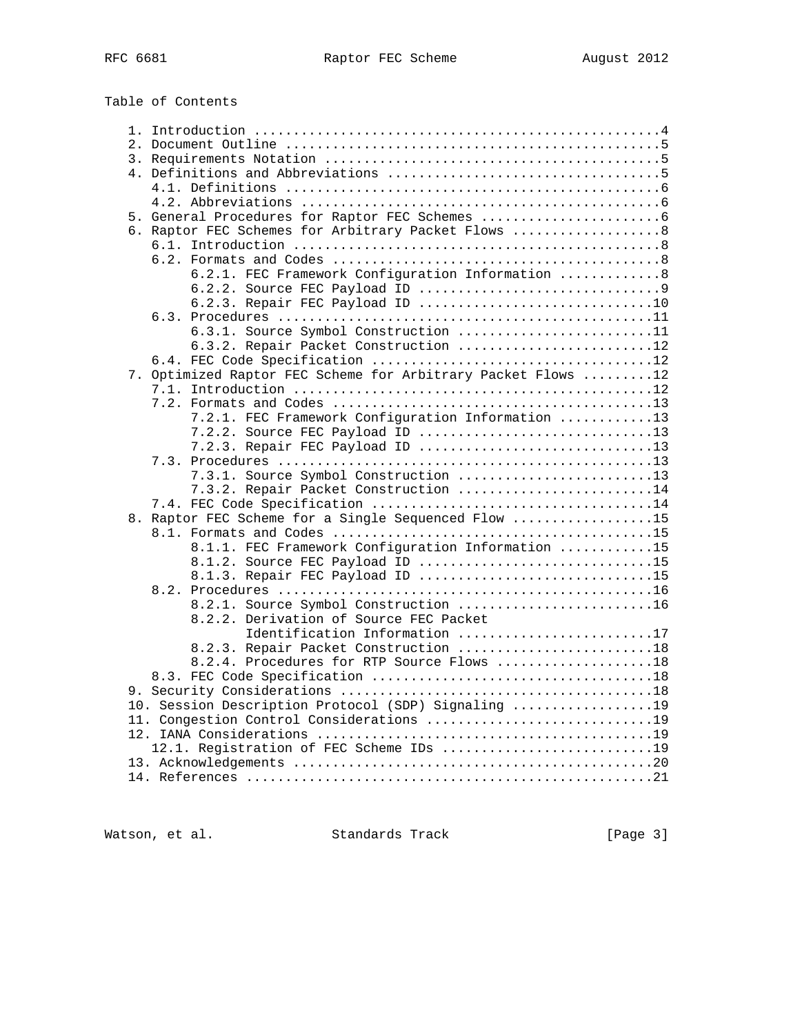Table of Contents

|                                          | 6. Raptor FEC Schemes for Arbitrary Packet Flows  8          |  |  |  |  |
|------------------------------------------|--------------------------------------------------------------|--|--|--|--|
|                                          |                                                              |  |  |  |  |
|                                          |                                                              |  |  |  |  |
|                                          | 6.2.1. FEC Framework Configuration Information 8             |  |  |  |  |
|                                          |                                                              |  |  |  |  |
|                                          | 6.2.3. Repair FEC Payload ID 10                              |  |  |  |  |
|                                          |                                                              |  |  |  |  |
|                                          | 6.3.1. Source Symbol Construction 11                         |  |  |  |  |
|                                          | 6.3.2. Repair Packet Construction 12                         |  |  |  |  |
|                                          |                                                              |  |  |  |  |
|                                          |                                                              |  |  |  |  |
|                                          | 7. Optimized Raptor FEC Scheme for Arbitrary Packet Flows 12 |  |  |  |  |
|                                          |                                                              |  |  |  |  |
|                                          |                                                              |  |  |  |  |
|                                          | 7.2.1. FEC Framework Configuration Information 13            |  |  |  |  |
|                                          | 7.2.2. Source FEC Payload ID 13                              |  |  |  |  |
|                                          | 7.2.3. Repair FEC Payload ID 13                              |  |  |  |  |
|                                          |                                                              |  |  |  |  |
|                                          | 7.3.1. Source Symbol Construction 13                         |  |  |  |  |
|                                          | 7.3.2. Repair Packet Construction 14                         |  |  |  |  |
|                                          |                                                              |  |  |  |  |
|                                          | 8. Raptor FEC Scheme for a Single Sequenced Flow 15          |  |  |  |  |
|                                          |                                                              |  |  |  |  |
|                                          | 8.1.1. FEC Framework Configuration Information 15            |  |  |  |  |
|                                          | 8.1.2. Source FEC Payload ID 15                              |  |  |  |  |
|                                          | 8.1.3. Repair FEC Payload ID 15                              |  |  |  |  |
|                                          |                                                              |  |  |  |  |
|                                          | 8.2.1. Source Symbol Construction 16                         |  |  |  |  |
|                                          | 8.2.2. Derivation of Source FEC Packet                       |  |  |  |  |
|                                          | Identification Information 17                                |  |  |  |  |
|                                          | 8.2.3. Repair Packet Construction 18                         |  |  |  |  |
|                                          | 8.2.4. Procedures for RTP Source Flows 18                    |  |  |  |  |
|                                          |                                                              |  |  |  |  |
|                                          |                                                              |  |  |  |  |
|                                          | 10. Session Description Protocol (SDP) Signaling 19          |  |  |  |  |
| 11. Congestion Control Considerations 19 |                                                              |  |  |  |  |
|                                          |                                                              |  |  |  |  |
|                                          | 12.1. Registration of FEC Scheme IDs 19                      |  |  |  |  |
|                                          |                                                              |  |  |  |  |
|                                          |                                                              |  |  |  |  |
|                                          |                                                              |  |  |  |  |

Watson, et al. Standards Track [Page 3]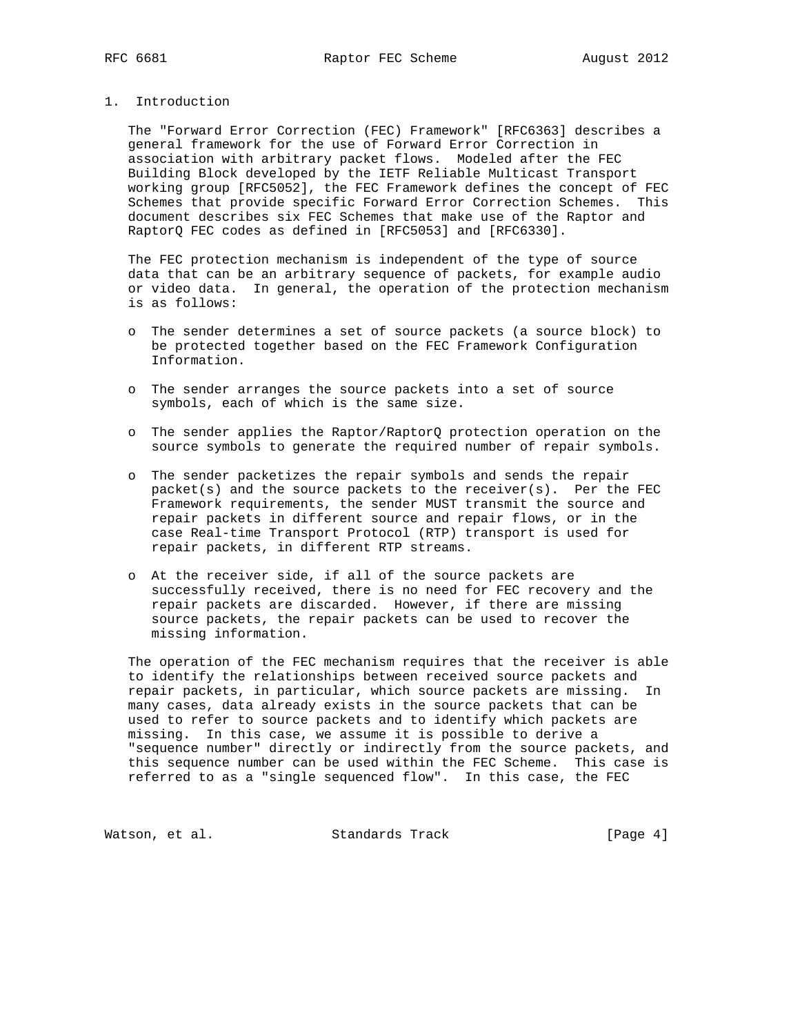1. Introduction

 The "Forward Error Correction (FEC) Framework" [RFC6363] describes a general framework for the use of Forward Error Correction in association with arbitrary packet flows. Modeled after the FEC Building Block developed by the IETF Reliable Multicast Transport working group [RFC5052], the FEC Framework defines the concept of FEC Schemes that provide specific Forward Error Correction Schemes. This document describes six FEC Schemes that make use of the Raptor and RaptorQ FEC codes as defined in [RFC5053] and [RFC6330].

 The FEC protection mechanism is independent of the type of source data that can be an arbitrary sequence of packets, for example audio or video data. In general, the operation of the protection mechanism is as follows:

- o The sender determines a set of source packets (a source block) to be protected together based on the FEC Framework Configuration Information.
- o The sender arranges the source packets into a set of source symbols, each of which is the same size.
- o The sender applies the Raptor/RaptorQ protection operation on the source symbols to generate the required number of repair symbols.
- o The sender packetizes the repair symbols and sends the repair packet(s) and the source packets to the receiver(s). Per the FEC Framework requirements, the sender MUST transmit the source and repair packets in different source and repair flows, or in the case Real-time Transport Protocol (RTP) transport is used for repair packets, in different RTP streams.
- o At the receiver side, if all of the source packets are successfully received, there is no need for FEC recovery and the repair packets are discarded. However, if there are missing source packets, the repair packets can be used to recover the missing information.

 The operation of the FEC mechanism requires that the receiver is able to identify the relationships between received source packets and repair packets, in particular, which source packets are missing. In many cases, data already exists in the source packets that can be used to refer to source packets and to identify which packets are missing. In this case, we assume it is possible to derive a "sequence number" directly or indirectly from the source packets, and this sequence number can be used within the FEC Scheme. This case is referred to as a "single sequenced flow". In this case, the FEC

Watson, et al. Standards Track [Page 4]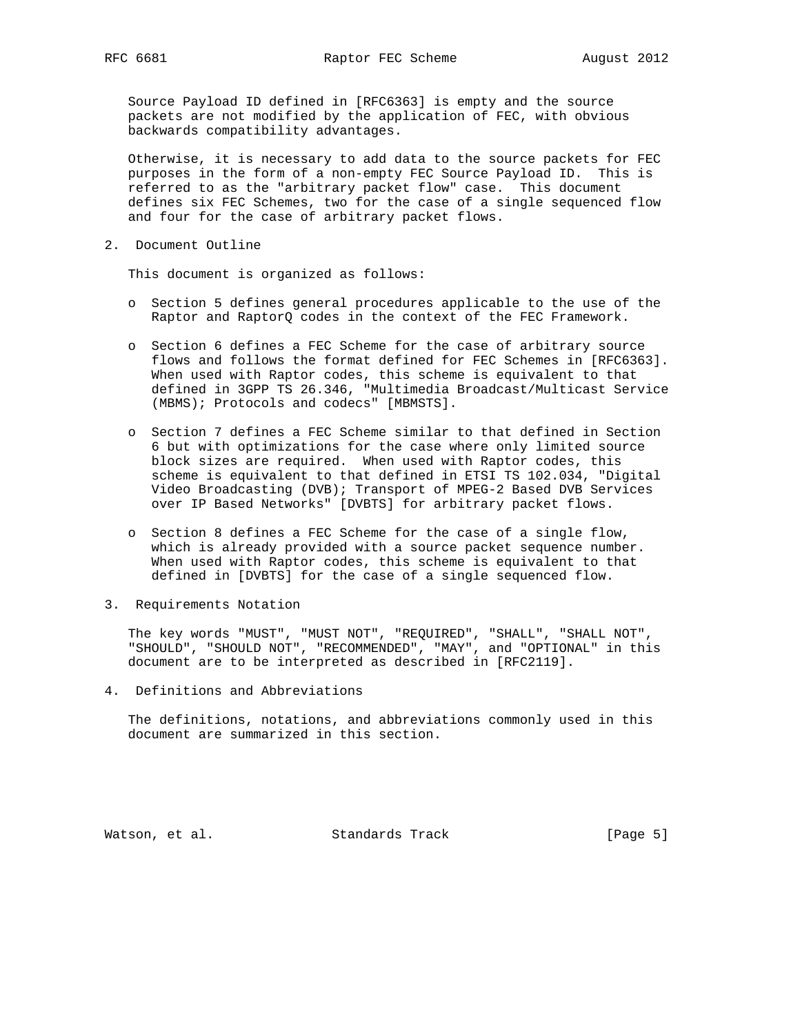Source Payload ID defined in [RFC6363] is empty and the source packets are not modified by the application of FEC, with obvious backwards compatibility advantages.

 Otherwise, it is necessary to add data to the source packets for FEC purposes in the form of a non-empty FEC Source Payload ID. This is referred to as the "arbitrary packet flow" case. This document defines six FEC Schemes, two for the case of a single sequenced flow and four for the case of arbitrary packet flows.

2. Document Outline

This document is organized as follows:

- o Section 5 defines general procedures applicable to the use of the Raptor and RaptorQ codes in the context of the FEC Framework.
- o Section 6 defines a FEC Scheme for the case of arbitrary source flows and follows the format defined for FEC Schemes in [RFC6363]. When used with Raptor codes, this scheme is equivalent to that defined in 3GPP TS 26.346, "Multimedia Broadcast/Multicast Service (MBMS); Protocols and codecs" [MBMSTS].
- o Section 7 defines a FEC Scheme similar to that defined in Section 6 but with optimizations for the case where only limited source block sizes are required. When used with Raptor codes, this scheme is equivalent to that defined in ETSI TS 102.034, "Digital Video Broadcasting (DVB); Transport of MPEG-2 Based DVB Services over IP Based Networks" [DVBTS] for arbitrary packet flows.
- o Section 8 defines a FEC Scheme for the case of a single flow, which is already provided with a source packet sequence number. When used with Raptor codes, this scheme is equivalent to that defined in [DVBTS] for the case of a single sequenced flow.
- 3. Requirements Notation

 The key words "MUST", "MUST NOT", "REQUIRED", "SHALL", "SHALL NOT", "SHOULD", "SHOULD NOT", "RECOMMENDED", "MAY", and "OPTIONAL" in this document are to be interpreted as described in [RFC2119].

4. Definitions and Abbreviations

 The definitions, notations, and abbreviations commonly used in this document are summarized in this section.

Watson, et al. Standards Track [Page 5]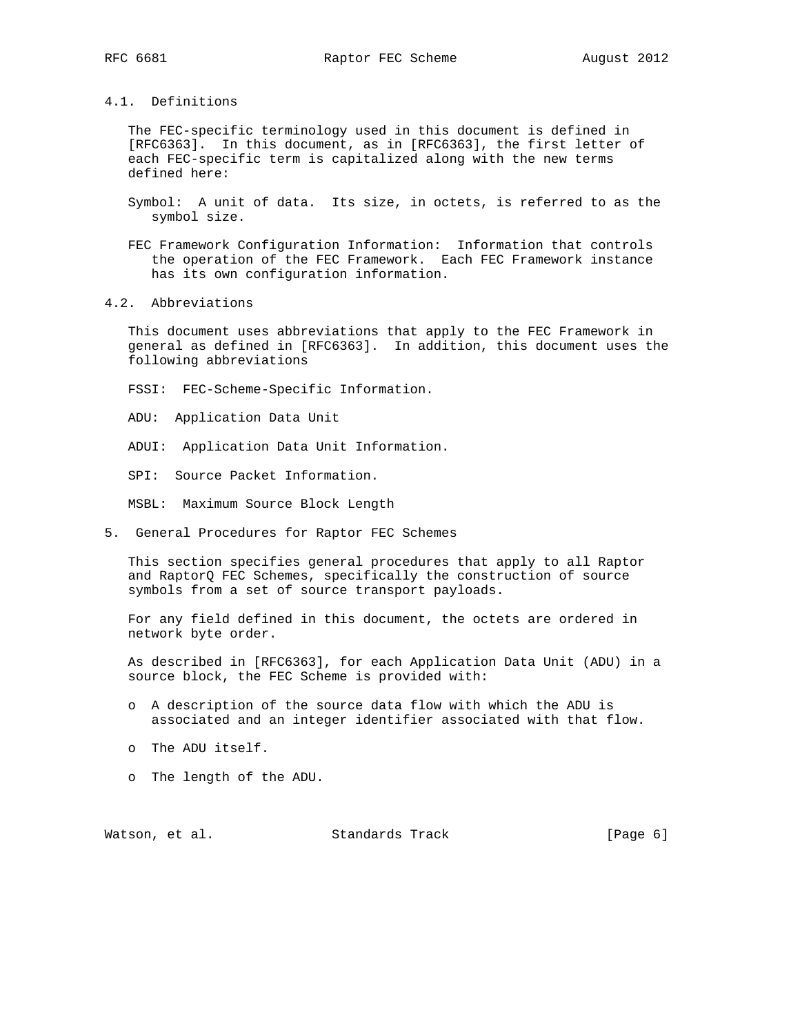4.1. Definitions

 The FEC-specific terminology used in this document is defined in [RFC6363]. In this document, as in [RFC6363], the first letter of each FEC-specific term is capitalized along with the new terms defined here:

 Symbol: A unit of data. Its size, in octets, is referred to as the symbol size.

- FEC Framework Configuration Information: Information that controls the operation of the FEC Framework. Each FEC Framework instance has its own configuration information.
- 4.2. Abbreviations

 This document uses abbreviations that apply to the FEC Framework in general as defined in [RFC6363]. In addition, this document uses the following abbreviations

FSSI: FEC-Scheme-Specific Information.

ADU: Application Data Unit

ADUI: Application Data Unit Information.

SPI: Source Packet Information.

MSBL: Maximum Source Block Length

5. General Procedures for Raptor FEC Schemes

 This section specifies general procedures that apply to all Raptor and RaptorQ FEC Schemes, specifically the construction of source symbols from a set of source transport payloads.

 For any field defined in this document, the octets are ordered in network byte order.

 As described in [RFC6363], for each Application Data Unit (ADU) in a source block, the FEC Scheme is provided with:

- o A description of the source data flow with which the ADU is associated and an integer identifier associated with that flow.
- o The ADU itself.
- o The length of the ADU.

Watson, et al. Standards Track [Page 6]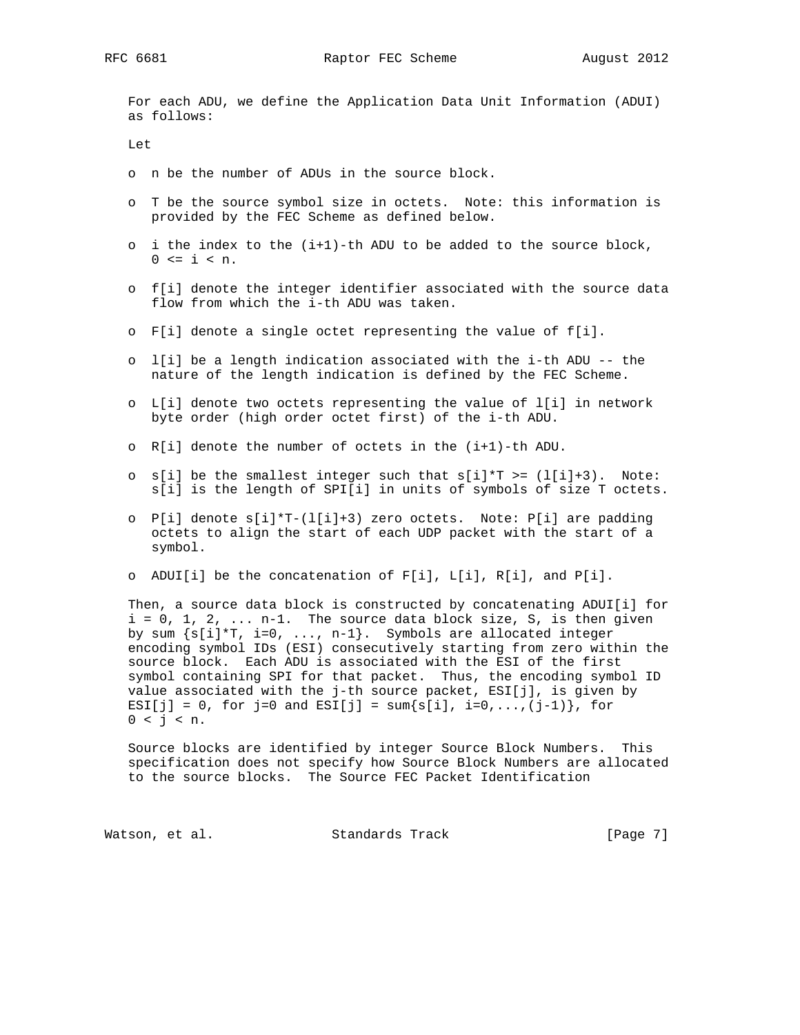For each ADU, we define the Application Data Unit Information (ADUI) as follows:

Let

- o n be the number of ADUs in the source block.
- o T be the source symbol size in octets. Note: this information is provided by the FEC Scheme as defined below.
- o i the index to the (i+1)-th ADU to be added to the source block,  $0 \le i \le n$ .
- o f[i] denote the integer identifier associated with the source data flow from which the i-th ADU was taken.
- o F[i] denote a single octet representing the value of f[i].
- o l[i] be a length indication associated with the i-th ADU -- the nature of the length indication is defined by the FEC Scheme.
- o L[i] denote two octets representing the value of l[i] in network byte order (high order octet first) of the i-th ADU.
- o R[i] denote the number of octets in the (i+1)-th ADU.
- o s[i] be the smallest integer such that  $s[i]*T >= (l[i]+3)$ . Note: s[i] is the length of SPI[i] in units of symbols of size T octets.
- o P[i] denote s[i]\*T-(l[i]+3) zero octets. Note: P[i] are padding octets to align the start of each UDP packet with the start of a symbol.
- o ADUI[i] be the concatenation of F[i], L[i], R[i], and P[i].

 Then, a source data block is constructed by concatenating ADUI[i] for  $i = 0, 1, 2, ... n-1$ . The source data block size, S, is then given by sum  $\{s[i]^*T, i=0, \ldots, n-1\}$ . Symbols are allocated integer encoding symbol IDs (ESI) consecutively starting from zero within the source block. Each ADU is associated with the ESI of the first symbol containing SPI for that packet. Thus, the encoding symbol ID value associated with the j-th source packet, ESI[j], is given by ESI[j] = 0, for j=0 and ESI[j] = sum $\{s[i], i=0,...,(j-1)\}\$ , for  $0 < j < n$ .

 Source blocks are identified by integer Source Block Numbers. This specification does not specify how Source Block Numbers are allocated to the source blocks. The Source FEC Packet Identification

Watson, et al. Standards Track [Page 7]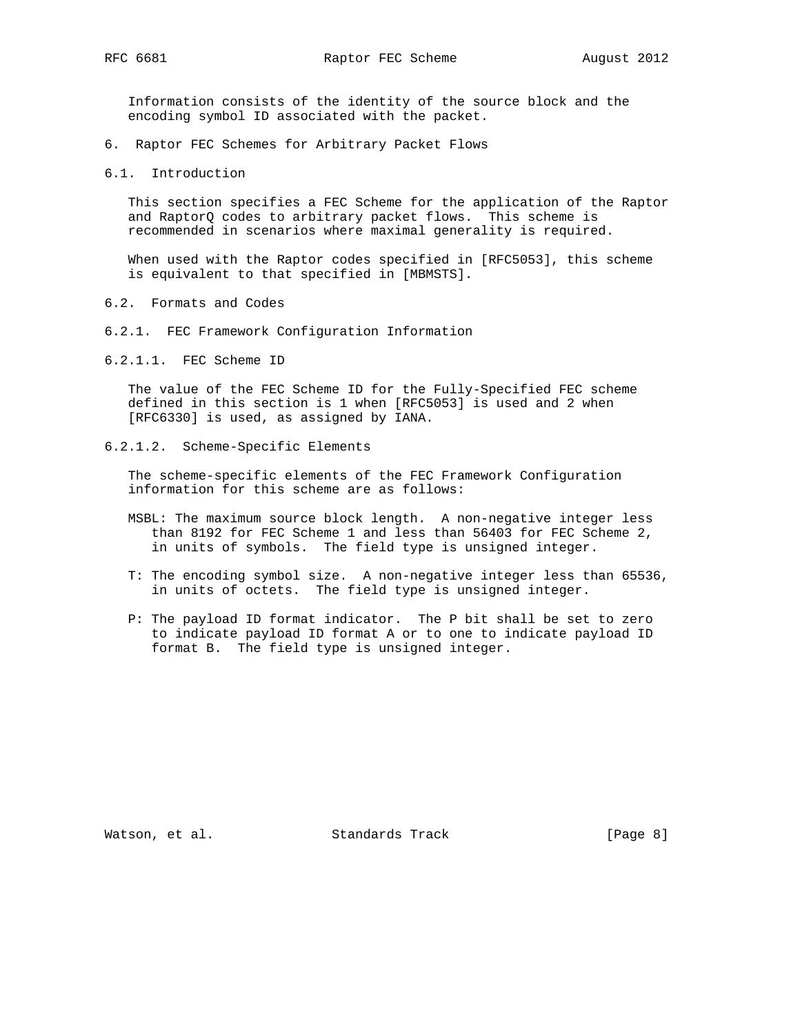Information consists of the identity of the source block and the encoding symbol ID associated with the packet.

- 6. Raptor FEC Schemes for Arbitrary Packet Flows
- 6.1. Introduction

 This section specifies a FEC Scheme for the application of the Raptor and RaptorQ codes to arbitrary packet flows. This scheme is recommended in scenarios where maximal generality is required.

 When used with the Raptor codes specified in [RFC5053], this scheme is equivalent to that specified in [MBMSTS].

- 6.2. Formats and Codes
- 6.2.1. FEC Framework Configuration Information
- 6.2.1.1. FEC Scheme ID

 The value of the FEC Scheme ID for the Fully-Specified FEC scheme defined in this section is 1 when [RFC5053] is used and 2 when [RFC6330] is used, as assigned by IANA.

6.2.1.2. Scheme-Specific Elements

 The scheme-specific elements of the FEC Framework Configuration information for this scheme are as follows:

- MSBL: The maximum source block length. A non-negative integer less than 8192 for FEC Scheme 1 and less than 56403 for FEC Scheme 2, in units of symbols. The field type is unsigned integer.
- T: The encoding symbol size. A non-negative integer less than 65536, in units of octets. The field type is unsigned integer.
- P: The payload ID format indicator. The P bit shall be set to zero to indicate payload ID format A or to one to indicate payload ID format B. The field type is unsigned integer.

Watson, et al. Standards Track [Page 8]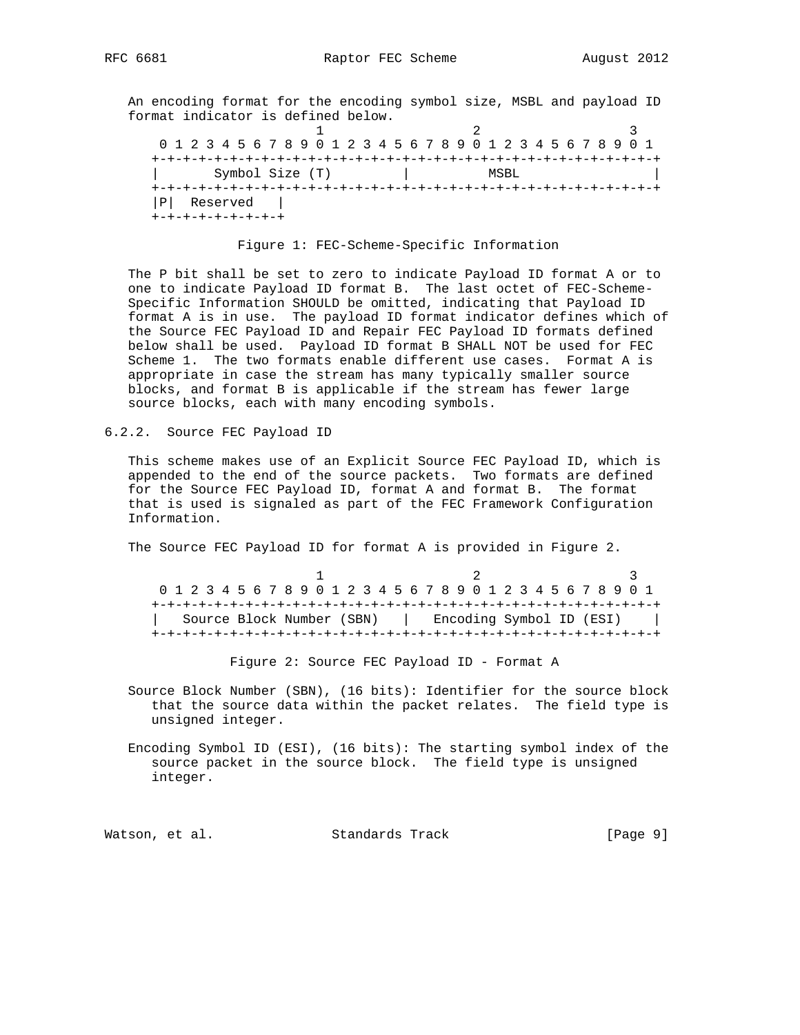An encoding format for the encoding symbol size, MSBL and payload ID format indicator is defined below.

1 2 3 0 1 2 3 4 5 6 7 8 9 0 1 2 3 4 5 6 7 8 9 0 1 2 3 4 5 6 7 8 9 0 1 +-+-+-+-+-+-+-+-+-+-+-+-+-+-+-+-+-+-+-+-+-+-+-+-+-+-+-+-+-+-+-+-+ | Symbol Size (T) | MSBL | +-+-+-+-+-+-+-+-+-+-+-+-+-+-+-+-+-+-+-+-+-+-+-+-+-+-+-+-+-+-+-+-+ |P| Reserved | +-+-+-+-+-+-+-+-+

#### Figure 1: FEC-Scheme-Specific Information

 The P bit shall be set to zero to indicate Payload ID format A or to one to indicate Payload ID format B. The last octet of FEC-Scheme- Specific Information SHOULD be omitted, indicating that Payload ID format A is in use. The payload ID format indicator defines which of the Source FEC Payload ID and Repair FEC Payload ID formats defined below shall be used. Payload ID format B SHALL NOT be used for FEC Scheme 1. The two formats enable different use cases. Format A is appropriate in case the stream has many typically smaller source blocks, and format B is applicable if the stream has fewer large source blocks, each with many encoding symbols.

6.2.2. Source FEC Payload ID

 This scheme makes use of an Explicit Source FEC Payload ID, which is appended to the end of the source packets. Two formats are defined for the Source FEC Payload ID, format A and format B. The format that is used is signaled as part of the FEC Framework Configuration Information.

The Source FEC Payload ID for format A is provided in Figure 2.

1 2 3 0 1 2 3 4 5 6 7 8 9 0 1 2 3 4 5 6 7 8 9 0 1 2 3 4 5 6 7 8 9 0 1 +-+-+-+-+-+-+-+-+-+-+-+-+-+-+-+-+-+-+-+-+-+-+-+-+-+-+-+-+-+-+-+-+ | Source Block Number (SBN) | Encoding Symbol ID (ESI) | +-+-+-+-+-+-+-+-+-+-+-+-+-+-+-+-+-+-+-+-+-+-+-+-+-+-+-+-+-+-+-+-+

Figure 2: Source FEC Payload ID - Format A

 Source Block Number (SBN), (16 bits): Identifier for the source block that the source data within the packet relates. The field type is unsigned integer.

 Encoding Symbol ID (ESI), (16 bits): The starting symbol index of the source packet in the source block. The field type is unsigned integer.

Watson, et al. Standards Track [Page 9]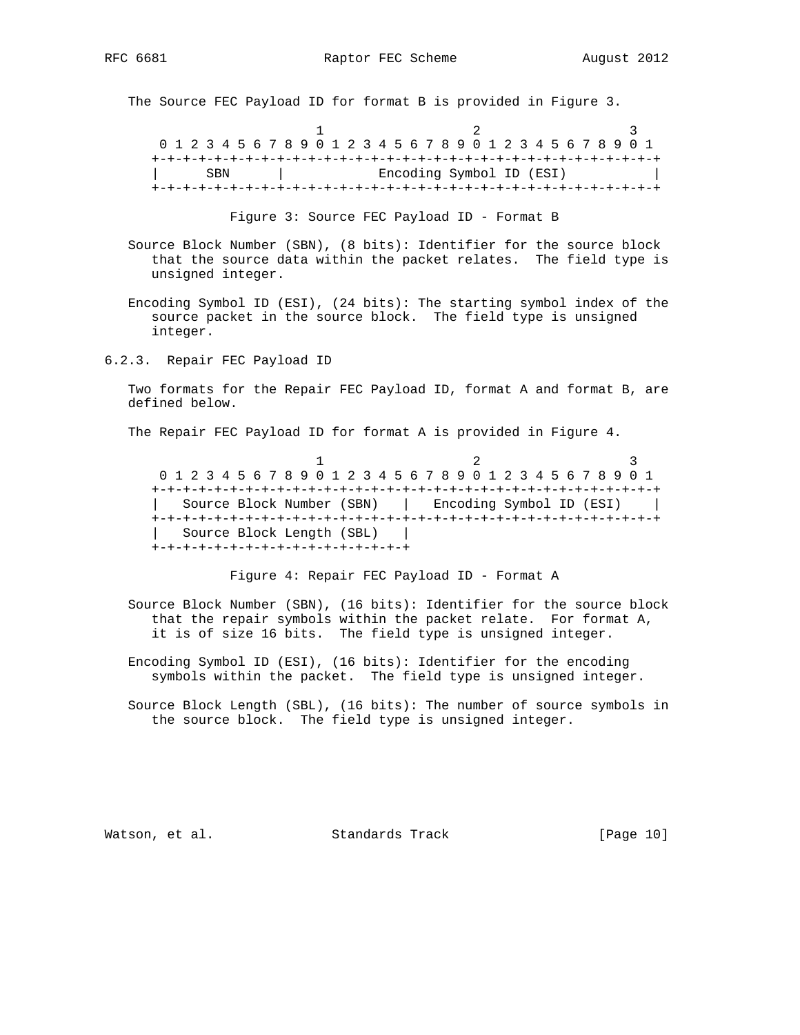The Source FEC Payload ID for format B is provided in Figure 3.

1 2 3 0 1 2 3 4 5 6 7 8 9 0 1 2 3 4 5 6 7 8 9 0 1 2 3 4 5 6 7 8 9 0 1 +-+-+-+-+-+-+-+-+-+-+-+-+-+-+-+-+-+-+-+-+-+-+-+-+-+-+-+-+-+-+-+-+ | SBN | Encoding Symbol ID (ESI) +-+-+-+-+-+-+-+-+-+-+-+-+-+-+-+-+-+-+-+-+-+-+-+-+-+-+-+-+-+-+-+-+

Figure 3: Source FEC Payload ID - Format B

 Source Block Number (SBN), (8 bits): Identifier for the source block that the source data within the packet relates. The field type is unsigned integer.

 Encoding Symbol ID (ESI), (24 bits): The starting symbol index of the source packet in the source block. The field type is unsigned integer.

6.2.3. Repair FEC Payload ID

 Two formats for the Repair FEC Payload ID, format A and format B, are defined below.

The Repair FEC Payload ID for format A is provided in Figure 4.

1 2 3 0 1 2 3 4 5 6 7 8 9 0 1 2 3 4 5 6 7 8 9 0 1 2 3 4 5 6 7 8 9 0 1 +-+-+-+-+-+-+-+-+-+-+-+-+-+-+-+-+-+-+-+-+-+-+-+-+-+-+-+-+-+-+-+-+ | Source Block Number (SBN) | Encoding Symbol ID (ESI) | +-+-+-+-+-+-+-+-+-+-+-+-+-+-+-+-+-+-+-+-+-+-+-+-+-+-+-+-+-+-+-+-+ | Source Block Length (SBL) | +-+-+-+-+-+-+-+-+-+-+-+-+-+-+-+-+

Figure 4: Repair FEC Payload ID - Format A

 Source Block Number (SBN), (16 bits): Identifier for the source block that the repair symbols within the packet relate. For format A, it is of size 16 bits. The field type is unsigned integer.

 Encoding Symbol ID (ESI), (16 bits): Identifier for the encoding symbols within the packet. The field type is unsigned integer.

 Source Block Length (SBL), (16 bits): The number of source symbols in the source block. The field type is unsigned integer.

Watson, et al. Standards Track [Page 10]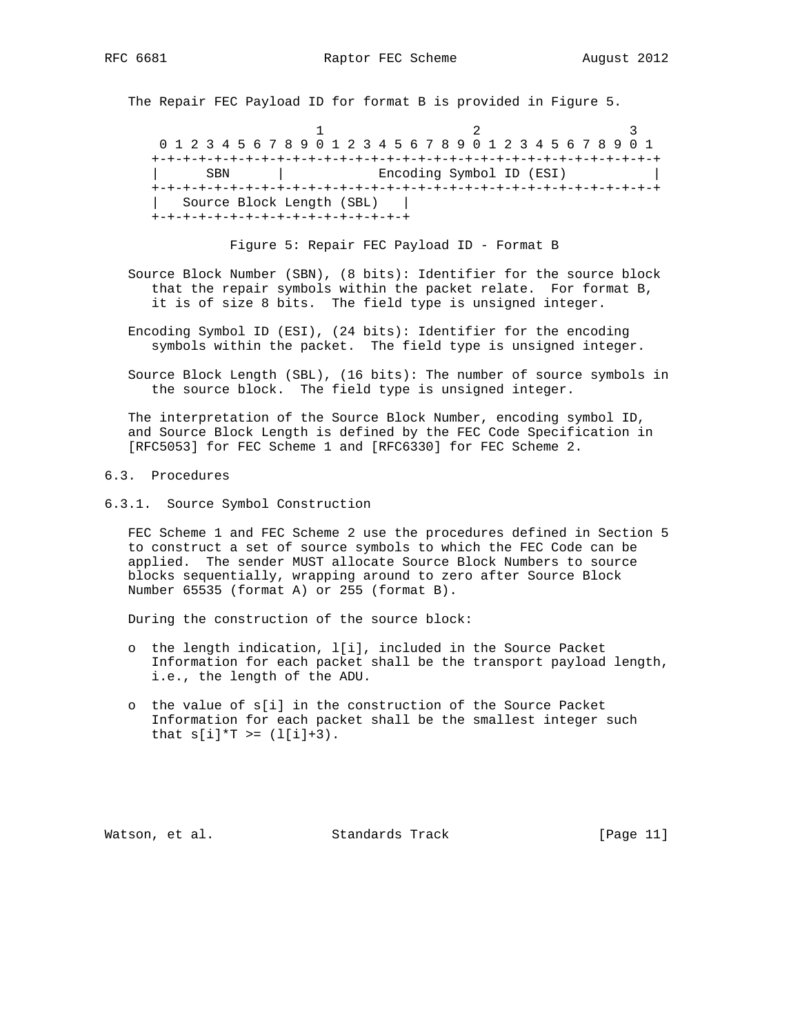The Repair FEC Payload ID for format B is provided in Figure 5.

1 2 3 0 1 2 3 4 5 6 7 8 9 0 1 2 3 4 5 6 7 8 9 0 1 2 3 4 5 6 7 8 9 0 1 +-+-+-+-+-+-+-+-+-+-+-+-+-+-+-+-+-+-+-+-+-+-+-+-+-+-+-+-+-+-+-+-+ | SBN | Encoding Symbol ID (ESI) +-+-+-+-+-+-+-+-+-+-+-+-+-+-+-+-+-+-+-+-+-+-+-+-+-+-+-+-+-+-+-+-+ | Source Block Length (SBL) | +-+-+-+-+-+-+-+-+-+-+-+-+-+-+-+-+

Figure 5: Repair FEC Payload ID - Format B

 Source Block Number (SBN), (8 bits): Identifier for the source block that the repair symbols within the packet relate. For format B, it is of size 8 bits. The field type is unsigned integer.

 Encoding Symbol ID (ESI), (24 bits): Identifier for the encoding symbols within the packet. The field type is unsigned integer.

 Source Block Length (SBL), (16 bits): The number of source symbols in the source block. The field type is unsigned integer.

 The interpretation of the Source Block Number, encoding symbol ID, and Source Block Length is defined by the FEC Code Specification in [RFC5053] for FEC Scheme 1 and [RFC6330] for FEC Scheme 2.

## 6.3. Procedures

6.3.1. Source Symbol Construction

 FEC Scheme 1 and FEC Scheme 2 use the procedures defined in Section 5 to construct a set of source symbols to which the FEC Code can be applied. The sender MUST allocate Source Block Numbers to source blocks sequentially, wrapping around to zero after Source Block Number 65535 (format A) or 255 (format B).

During the construction of the source block:

- o the length indication, l[i], included in the Source Packet Information for each packet shall be the transport payload length, i.e., the length of the ADU.
- o the value of s[i] in the construction of the Source Packet Information for each packet shall be the smallest integer such that  $s[i]*T >= (l[i]+3)$ .

Watson, et al. Standards Track [Page 11]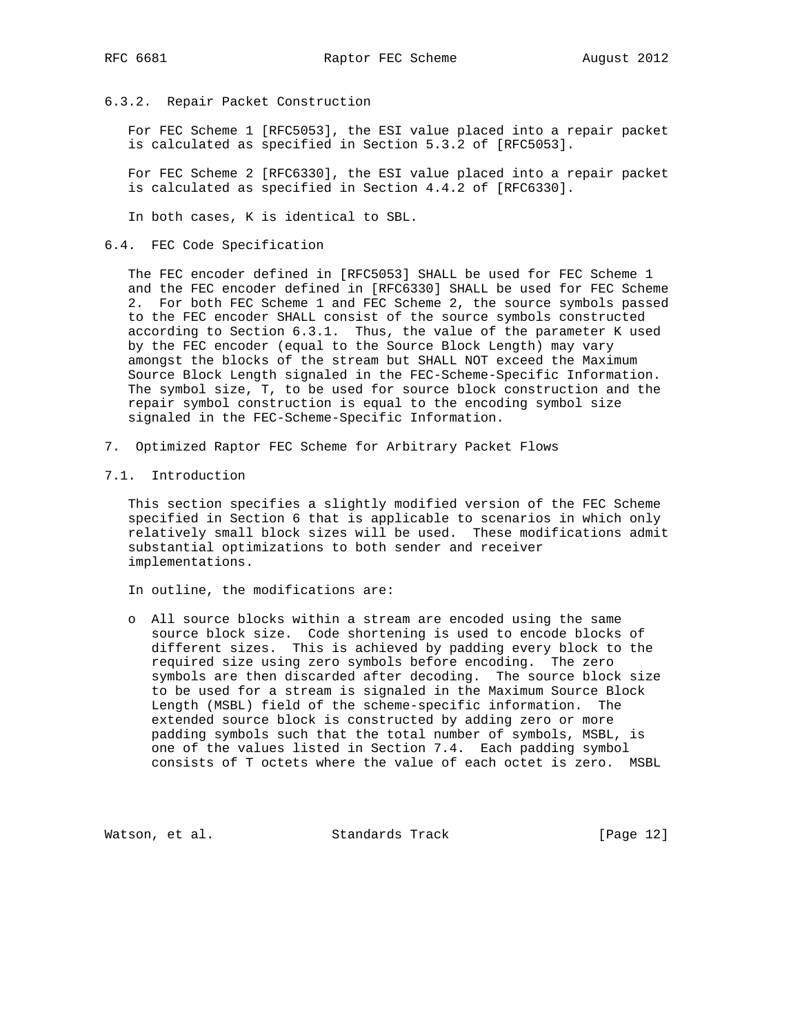### 6.3.2. Repair Packet Construction

 For FEC Scheme 1 [RFC5053], the ESI value placed into a repair packet is calculated as specified in Section 5.3.2 of [RFC5053].

 For FEC Scheme 2 [RFC6330], the ESI value placed into a repair packet is calculated as specified in Section 4.4.2 of [RFC6330].

In both cases, K is identical to SBL.

6.4. FEC Code Specification

 The FEC encoder defined in [RFC5053] SHALL be used for FEC Scheme 1 and the FEC encoder defined in [RFC6330] SHALL be used for FEC Scheme 2. For both FEC Scheme 1 and FEC Scheme 2, the source symbols passed to the FEC encoder SHALL consist of the source symbols constructed according to Section 6.3.1. Thus, the value of the parameter K used by the FEC encoder (equal to the Source Block Length) may vary amongst the blocks of the stream but SHALL NOT exceed the Maximum Source Block Length signaled in the FEC-Scheme-Specific Information. The symbol size, T, to be used for source block construction and the repair symbol construction is equal to the encoding symbol size signaled in the FEC-Scheme-Specific Information.

- 7. Optimized Raptor FEC Scheme for Arbitrary Packet Flows
- 7.1. Introduction

 This section specifies a slightly modified version of the FEC Scheme specified in Section 6 that is applicable to scenarios in which only relatively small block sizes will be used. These modifications admit substantial optimizations to both sender and receiver implementations.

In outline, the modifications are:

 o All source blocks within a stream are encoded using the same source block size. Code shortening is used to encode blocks of different sizes. This is achieved by padding every block to the required size using zero symbols before encoding. The zero symbols are then discarded after decoding. The source block size to be used for a stream is signaled in the Maximum Source Block Length (MSBL) field of the scheme-specific information. The extended source block is constructed by adding zero or more padding symbols such that the total number of symbols, MSBL, is one of the values listed in Section 7.4. Each padding symbol consists of T octets where the value of each octet is zero. MSBL

Watson, et al. Standards Track [Page 12]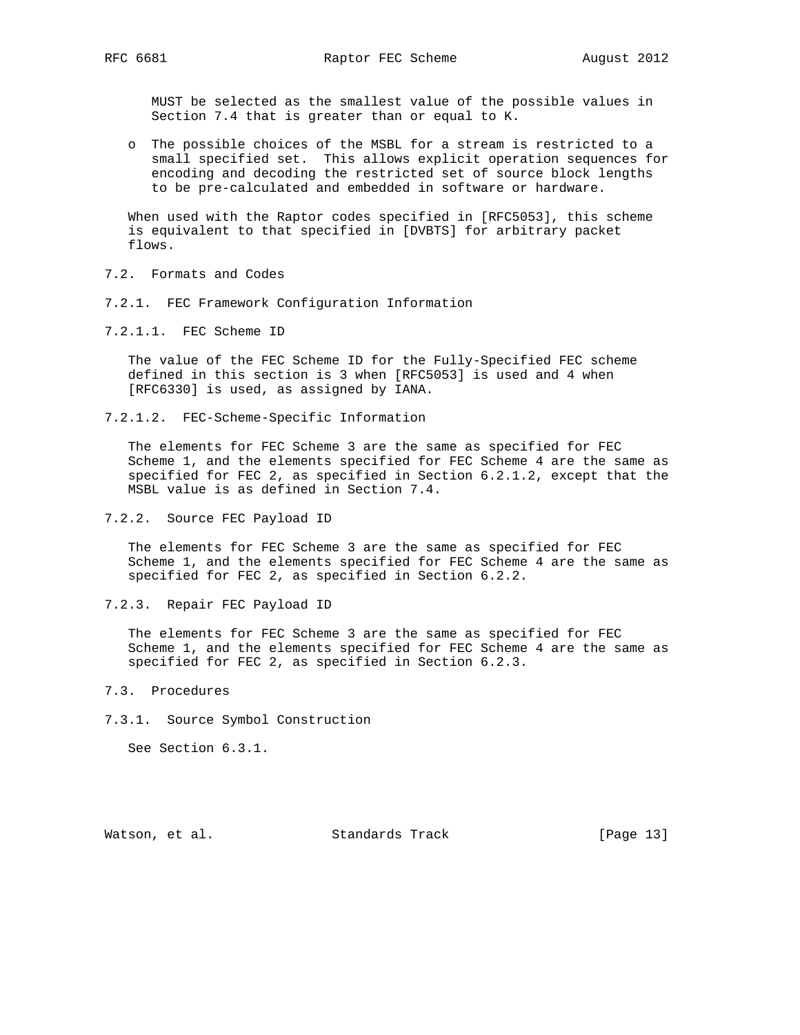MUST be selected as the smallest value of the possible values in Section 7.4 that is greater than or equal to K.

 o The possible choices of the MSBL for a stream is restricted to a small specified set. This allows explicit operation sequences for encoding and decoding the restricted set of source block lengths to be pre-calculated and embedded in software or hardware.

 When used with the Raptor codes specified in [RFC5053], this scheme is equivalent to that specified in [DVBTS] for arbitrary packet flows.

- 7.2. Formats and Codes
- 7.2.1. FEC Framework Configuration Information
- 7.2.1.1. FEC Scheme ID

 The value of the FEC Scheme ID for the Fully-Specified FEC scheme defined in this section is 3 when [RFC5053] is used and 4 when [RFC6330] is used, as assigned by IANA.

7.2.1.2. FEC-Scheme-Specific Information

 The elements for FEC Scheme 3 are the same as specified for FEC Scheme 1, and the elements specified for FEC Scheme 4 are the same as specified for FEC 2, as specified in Section 6.2.1.2, except that the MSBL value is as defined in Section 7.4.

7.2.2. Source FEC Payload ID

 The elements for FEC Scheme 3 are the same as specified for FEC Scheme 1, and the elements specified for FEC Scheme 4 are the same as specified for FEC 2, as specified in Section 6.2.2.

7.2.3. Repair FEC Payload ID

 The elements for FEC Scheme 3 are the same as specified for FEC Scheme 1, and the elements specified for FEC Scheme 4 are the same as specified for FEC 2, as specified in Section 6.2.3.

- 7.3. Procedures
- 7.3.1. Source Symbol Construction

See Section 6.3.1.

Watson, et al. Standards Track [Page 13]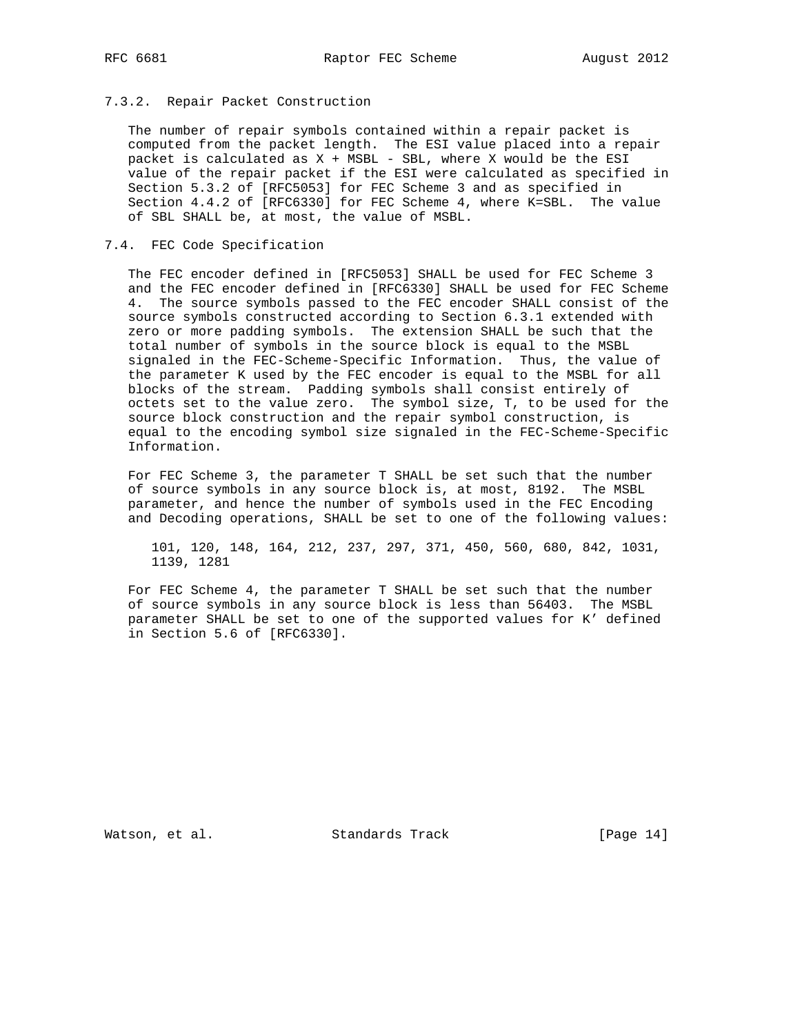### 7.3.2. Repair Packet Construction

 The number of repair symbols contained within a repair packet is computed from the packet length. The ESI value placed into a repair packet is calculated as X + MSBL - SBL, where X would be the ESI value of the repair packet if the ESI were calculated as specified in Section 5.3.2 of [RFC5053] for FEC Scheme 3 and as specified in Section 4.4.2 of [RFC6330] for FEC Scheme 4, where K=SBL. The value of SBL SHALL be, at most, the value of MSBL.

### 7.4. FEC Code Specification

 The FEC encoder defined in [RFC5053] SHALL be used for FEC Scheme 3 and the FEC encoder defined in [RFC6330] SHALL be used for FEC Scheme 4. The source symbols passed to the FEC encoder SHALL consist of the source symbols constructed according to Section 6.3.1 extended with zero or more padding symbols. The extension SHALL be such that the total number of symbols in the source block is equal to the MSBL signaled in the FEC-Scheme-Specific Information. Thus, the value of the parameter K used by the FEC encoder is equal to the MSBL for all blocks of the stream. Padding symbols shall consist entirely of octets set to the value zero. The symbol size, T, to be used for the source block construction and the repair symbol construction, is equal to the encoding symbol size signaled in the FEC-Scheme-Specific Information.

 For FEC Scheme 3, the parameter T SHALL be set such that the number of source symbols in any source block is, at most, 8192. The MSBL parameter, and hence the number of symbols used in the FEC Encoding and Decoding operations, SHALL be set to one of the following values:

 101, 120, 148, 164, 212, 237, 297, 371, 450, 560, 680, 842, 1031, 1139, 1281

 For FEC Scheme 4, the parameter T SHALL be set such that the number of source symbols in any source block is less than 56403. The MSBL parameter SHALL be set to one of the supported values for K' defined in Section 5.6 of [RFC6330].

Watson, et al. Standards Track [Page 14]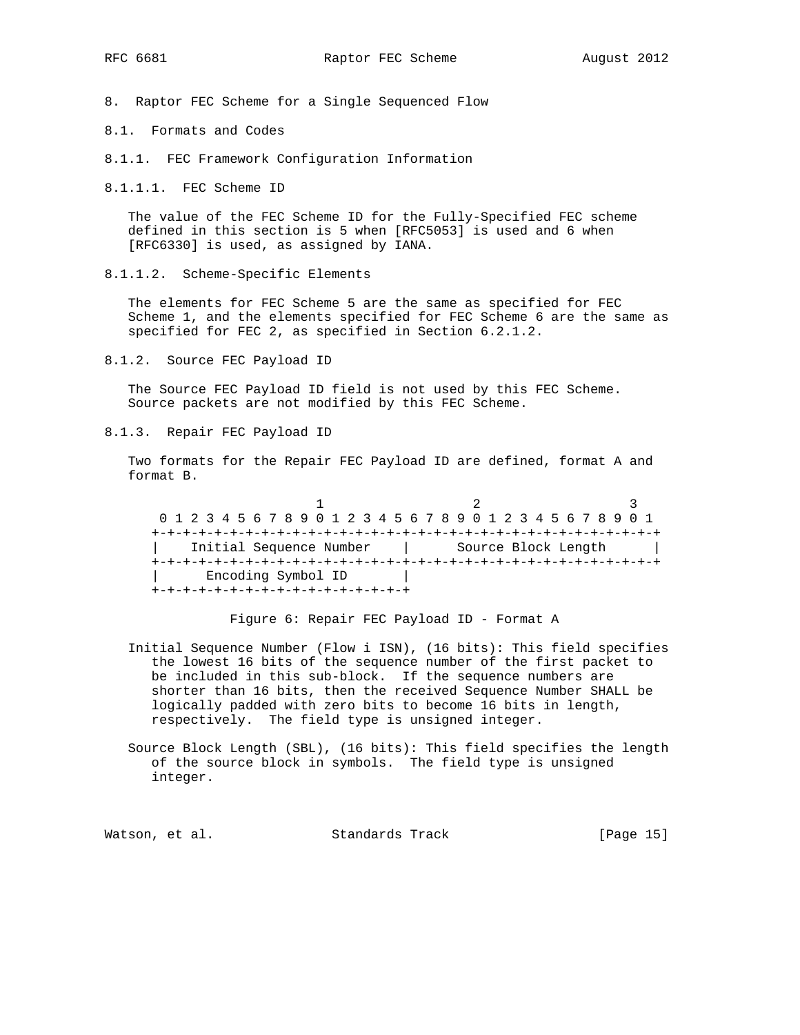8. Raptor FEC Scheme for a Single Sequenced Flow

8.1. Formats and Codes

8.1.1. FEC Framework Configuration Information

8.1.1.1. FEC Scheme ID

 The value of the FEC Scheme ID for the Fully-Specified FEC scheme defined in this section is 5 when [RFC5053] is used and 6 when [RFC6330] is used, as assigned by IANA.

8.1.1.2. Scheme-Specific Elements

 The elements for FEC Scheme 5 are the same as specified for FEC Scheme 1, and the elements specified for FEC Scheme 6 are the same as specified for FEC 2, as specified in Section 6.2.1.2.

8.1.2. Source FEC Payload ID

 The Source FEC Payload ID field is not used by this FEC Scheme. Source packets are not modified by this FEC Scheme.

8.1.3. Repair FEC Payload ID

 Two formats for the Repair FEC Payload ID are defined, format A and format B.

1 2 3 0 1 2 3 4 5 6 7 8 9 0 1 2 3 4 5 6 7 8 9 0 1 2 3 4 5 6 7 8 9 0 1 +-+-+-+-+-+-+-+-+-+-+-+-+-+-+-+-+-+-+-+-+-+-+-+-+-+-+-+-+-+-+-+-+ Initial Sequence Number | Source Block Length | +-+-+-+-+-+-+-+-+-+-+-+-+-+-+-+-+-+-+-+-+-+-+-+-+-+-+-+-+-+-+-+-+ | Encoding Symbol ID | +-+-+-+-+-+-+-+-+-+-+-+-+-+-+-+-+

Figure 6: Repair FEC Payload ID - Format A

- Initial Sequence Number (Flow i ISN), (16 bits): This field specifies the lowest 16 bits of the sequence number of the first packet to be included in this sub-block. If the sequence numbers are shorter than 16 bits, then the received Sequence Number SHALL be logically padded with zero bits to become 16 bits in length, respectively. The field type is unsigned integer.
- Source Block Length (SBL), (16 bits): This field specifies the length of the source block in symbols. The field type is unsigned integer.

Watson, et al. Standards Track [Page 15]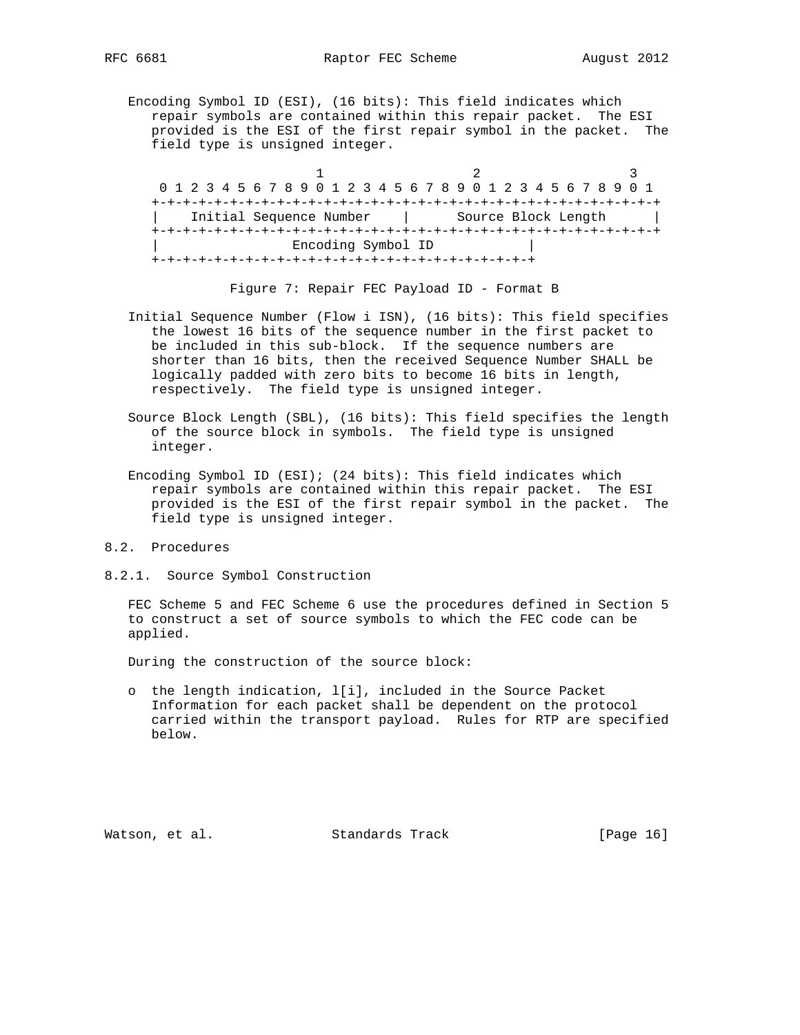Encoding Symbol ID (ESI), (16 bits): This field indicates which repair symbols are contained within this repair packet. The ESI provided is the ESI of the first repair symbol in the packet. The field type is unsigned integer.

1 2 3 0 1 2 3 4 5 6 7 8 9 0 1 2 3 4 5 6 7 8 9 0 1 2 3 4 5 6 7 8 9 0 1 +-+-+-+-+-+-+-+-+-+-+-+-+-+-+-+-+-+-+-+-+-+-+-+-+-+-+-+-+-+-+-+-+ | Initial Sequence Number | Source Block Length | +-+-+-+-+-+-+-+-+-+-+-+-+-+-+-+-+-+-+-+-+-+-+-+-+-+-+-+-+-+-+-+-+ | Encoding Symbol ID | +-+-+-+-+-+-+-+-+-+-+-+-+-+-+-+-+-+-+-+-+-+-+-+-+

Figure 7: Repair FEC Payload ID - Format B

- Initial Sequence Number (Flow i ISN), (16 bits): This field specifies the lowest 16 bits of the sequence number in the first packet to be included in this sub-block. If the sequence numbers are shorter than 16 bits, then the received Sequence Number SHALL be logically padded with zero bits to become 16 bits in length, respectively. The field type is unsigned integer.
- Source Block Length (SBL), (16 bits): This field specifies the length of the source block in symbols. The field type is unsigned integer.
- Encoding Symbol ID (ESI); (24 bits): This field indicates which repair symbols are contained within this repair packet. The ESI provided is the ESI of the first repair symbol in the packet. The field type is unsigned integer.
- 8.2. Procedures
- 8.2.1. Source Symbol Construction

 FEC Scheme 5 and FEC Scheme 6 use the procedures defined in Section 5 to construct a set of source symbols to which the FEC code can be applied.

During the construction of the source block:

 o the length indication, l[i], included in the Source Packet Information for each packet shall be dependent on the protocol carried within the transport payload. Rules for RTP are specified below.

Watson, et al. Standards Track [Page 16]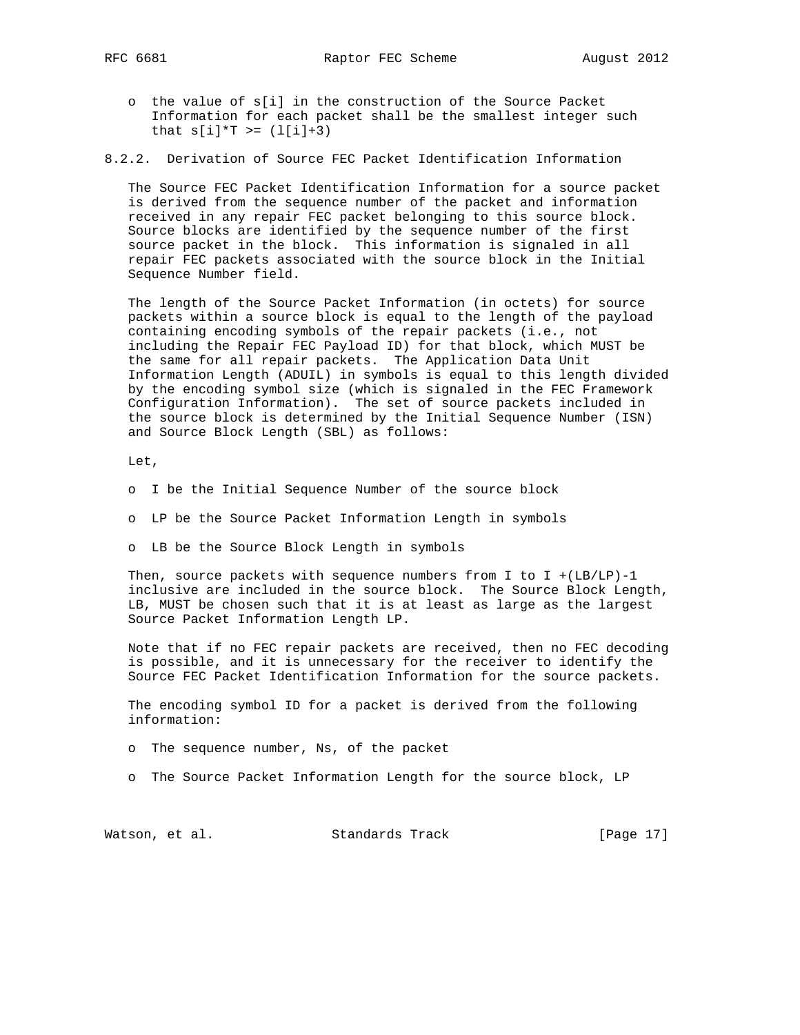- o the value of s[i] in the construction of the Source Packet Information for each packet shall be the smallest integer such that  $s[i]*T$  >=  $(l[i]+3)$
- 8.2.2. Derivation of Source FEC Packet Identification Information

 The Source FEC Packet Identification Information for a source packet is derived from the sequence number of the packet and information received in any repair FEC packet belonging to this source block. Source blocks are identified by the sequence number of the first source packet in the block. This information is signaled in all repair FEC packets associated with the source block in the Initial Sequence Number field.

 The length of the Source Packet Information (in octets) for source packets within a source block is equal to the length of the payload containing encoding symbols of the repair packets (i.e., not including the Repair FEC Payload ID) for that block, which MUST be the same for all repair packets. The Application Data Unit Information Length (ADUIL) in symbols is equal to this length divided by the encoding symbol size (which is signaled in the FEC Framework Configuration Information). The set of source packets included in the source block is determined by the Initial Sequence Number (ISN) and Source Block Length (SBL) as follows:

Let,

- o I be the Initial Sequence Number of the source block
- o LP be the Source Packet Information Length in symbols
- o LB be the Source Block Length in symbols

Then, source packets with sequence numbers from I to I +  $(LB/LP) - 1$  inclusive are included in the source block. The Source Block Length, LB, MUST be chosen such that it is at least as large as the largest Source Packet Information Length LP.

 Note that if no FEC repair packets are received, then no FEC decoding is possible, and it is unnecessary for the receiver to identify the Source FEC Packet Identification Information for the source packets.

 The encoding symbol ID for a packet is derived from the following information:

o The sequence number, Ns, of the packet

o The Source Packet Information Length for the source block, LP

Watson, et al. Standards Track [Page 17]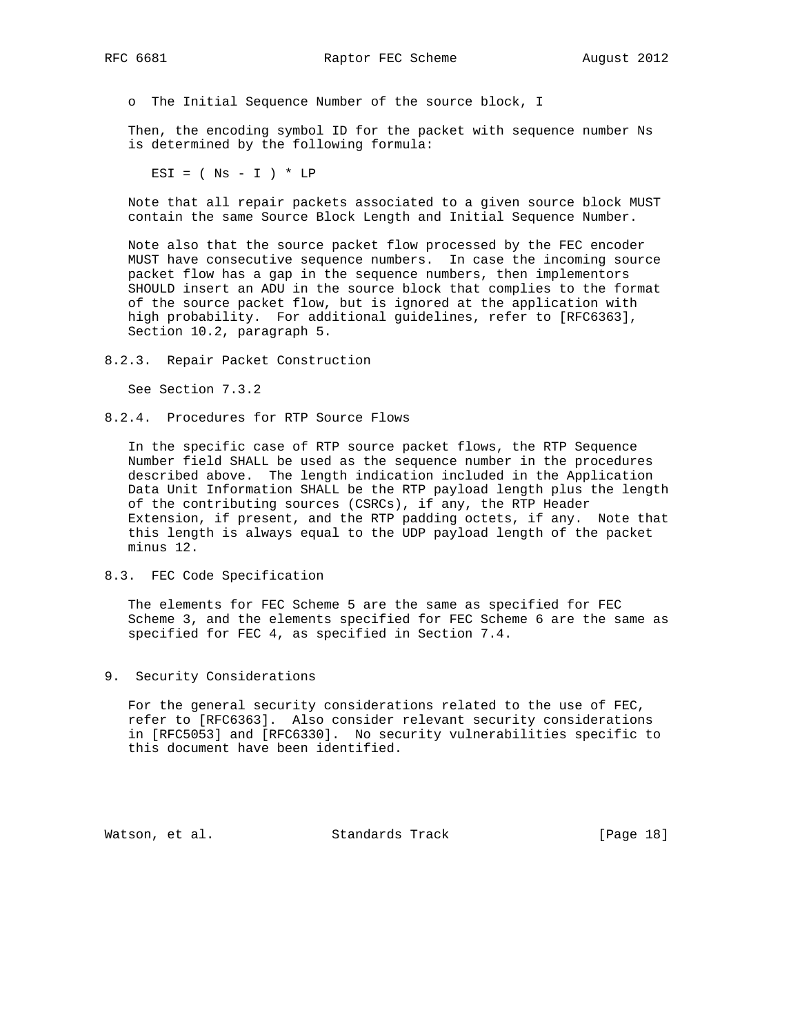o The Initial Sequence Number of the source block, I

 Then, the encoding symbol ID for the packet with sequence number Ns is determined by the following formula:

ESI =  $(Ns - I) * LP$ 

 Note that all repair packets associated to a given source block MUST contain the same Source Block Length and Initial Sequence Number.

 Note also that the source packet flow processed by the FEC encoder MUST have consecutive sequence numbers. In case the incoming source packet flow has a gap in the sequence numbers, then implementors SHOULD insert an ADU in the source block that complies to the format of the source packet flow, but is ignored at the application with high probability. For additional guidelines, refer to [RFC6363], Section 10.2, paragraph 5.

8.2.3. Repair Packet Construction

See Section 7.3.2

8.2.4. Procedures for RTP Source Flows

 In the specific case of RTP source packet flows, the RTP Sequence Number field SHALL be used as the sequence number in the procedures described above. The length indication included in the Application Data Unit Information SHALL be the RTP payload length plus the length of the contributing sources (CSRCs), if any, the RTP Header Extension, if present, and the RTP padding octets, if any. Note that this length is always equal to the UDP payload length of the packet minus 12.

8.3. FEC Code Specification

 The elements for FEC Scheme 5 are the same as specified for FEC Scheme 3, and the elements specified for FEC Scheme 6 are the same as specified for FEC 4, as specified in Section 7.4.

9. Security Considerations

 For the general security considerations related to the use of FEC, refer to [RFC6363]. Also consider relevant security considerations in [RFC5053] and [RFC6330]. No security vulnerabilities specific to this document have been identified.

Watson, et al. Standards Track [Page 18]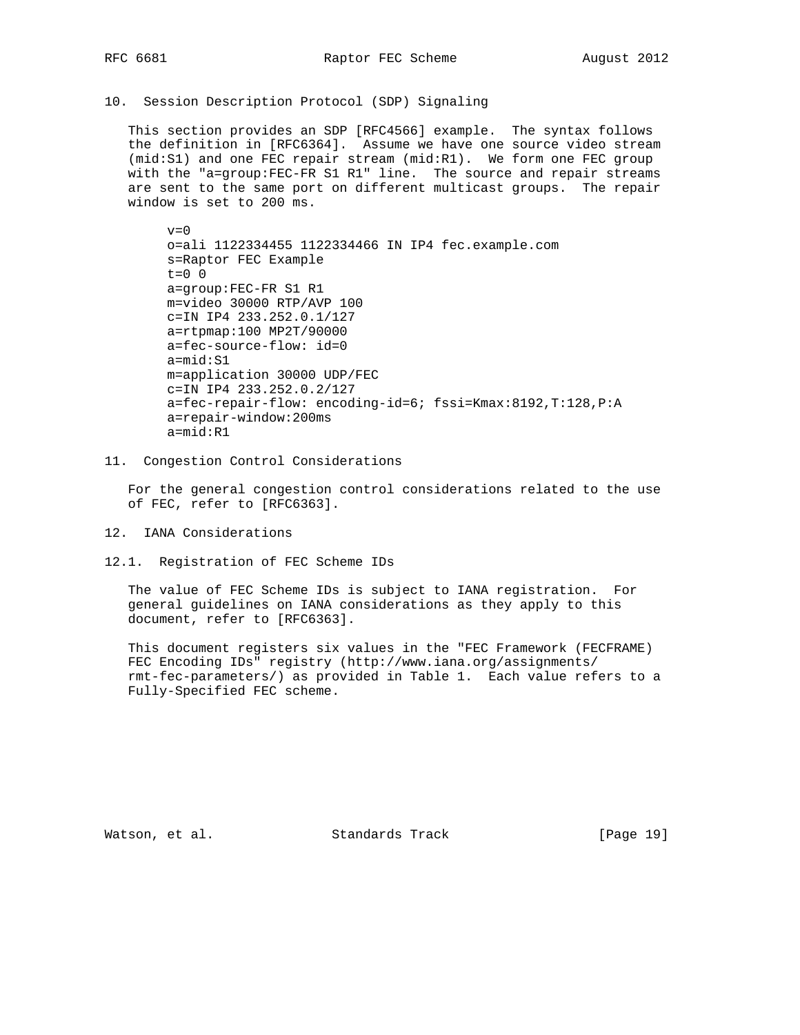10. Session Description Protocol (SDP) Signaling

 This section provides an SDP [RFC4566] example. The syntax follows the definition in [RFC6364]. Assume we have one source video stream (mid:S1) and one FEC repair stream (mid:R1). We form one FEC group with the "a=group:FEC-FR S1 R1" line. The source and repair streams are sent to the same port on different multicast groups. The repair window is set to 200 ms.

 $v=0$  o=ali 1122334455 1122334466 IN IP4 fec.example.com s=Raptor FEC Example  $t=0$  0 a=group:FEC-FR S1 R1 m=video 30000 RTP/AVP 100 c=IN IP4 233.252.0.1/127 a=rtpmap:100 MP2T/90000 a=fec-source-flow: id=0 a=mid:S1 m=application 30000 UDP/FEC c=IN IP4 233.252.0.2/127 a=fec-repair-flow: encoding-id=6; fssi=Kmax:8192,T:128,P:A a=repair-window:200ms a=mid:R1

11. Congestion Control Considerations

 For the general congestion control considerations related to the use of FEC, refer to [RFC6363].

- 12. IANA Considerations
- 12.1. Registration of FEC Scheme IDs

 The value of FEC Scheme IDs is subject to IANA registration. For general guidelines on IANA considerations as they apply to this document, refer to [RFC6363].

 This document registers six values in the "FEC Framework (FECFRAME) FEC Encoding IDs" registry (http://www.iana.org/assignments/ rmt-fec-parameters/) as provided in Table 1. Each value refers to a Fully-Specified FEC scheme.

Watson, et al. Standards Track [Page 19]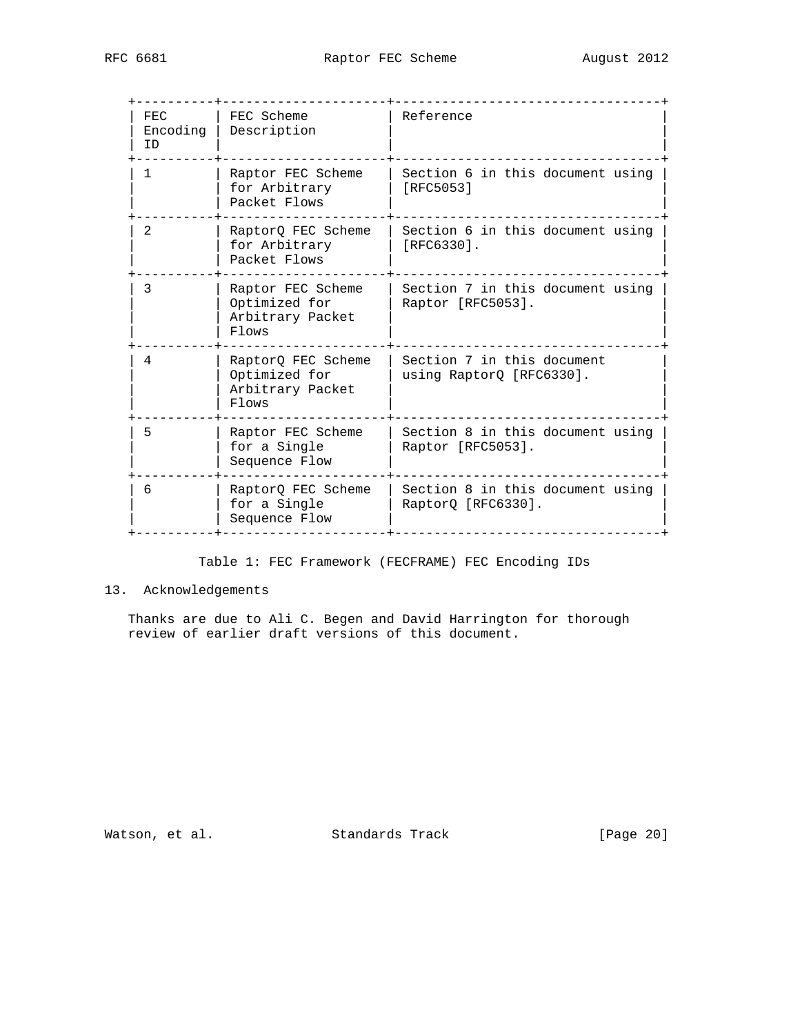| FEC.<br>Encoding<br>ID | FEC Scheme<br>Description                                                   | Reference                                              |
|------------------------|-----------------------------------------------------------------------------|--------------------------------------------------------|
| 1                      | Raptor FEC Scheme<br>for Arbitrary<br>Packet Flows                          | Section 6 in this document using<br>[RFC5053]          |
| 2                      | RaptorQ FEC Scheme<br>for Arbitrary<br>Packet Flows                         | Section 6 in this document using<br>[RFC6330].         |
| 3                      | Raptor FEC Scheme<br>Optimized for<br>Arbitrary Packet<br>$F1$ $\alpha$ ws  | Section 7 in this document using<br>Raptor [RFC5053].  |
| 4                      | RaptorQ FEC Scheme<br>Optimized for<br>Arbitrary Packet<br>$F1$ $\alpha$ ws | Section 7 in this document<br>using RaptorQ [RFC6330]. |
| 5                      | Raptor FEC Scheme<br>for a Single<br>Sequence Flow                          | Section 8 in this document using<br>Raptor [RFC5053].  |
| 6                      | RaptorQ FEC Scheme<br>for a Single<br>Sequence Flow                         | Section 8 in this document using<br>RaptorQ [RFC6330]. |
|                        |                                                                             |                                                        |

## Table 1: FEC Framework (FECFRAME) FEC Encoding IDs

# 13. Acknowledgements

 Thanks are due to Ali C. Begen and David Harrington for thorough review of earlier draft versions of this document.

Watson, et al. Standards Track [Page 20]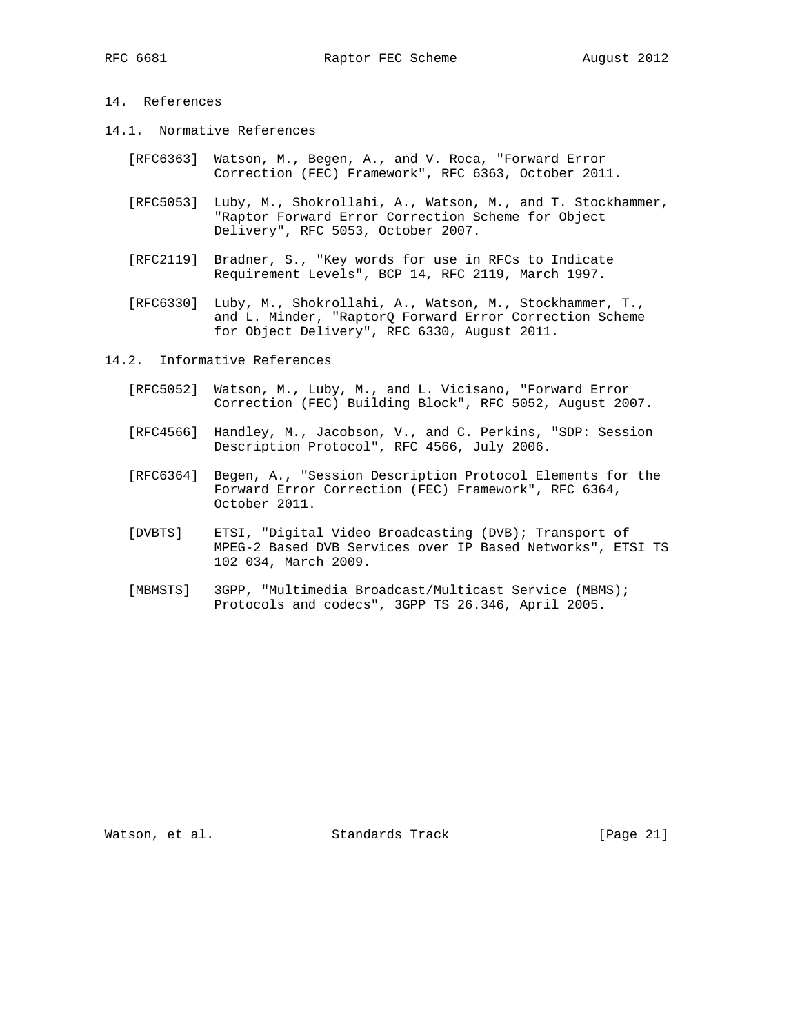# 14. References

- 14.1. Normative References
	- [RFC6363] Watson, M., Begen, A., and V. Roca, "Forward Error Correction (FEC) Framework", RFC 6363, October 2011.
	- [RFC5053] Luby, M., Shokrollahi, A., Watson, M., and T. Stockhammer, "Raptor Forward Error Correction Scheme for Object Delivery", RFC 5053, October 2007.
	- [RFC2119] Bradner, S., "Key words for use in RFCs to Indicate Requirement Levels", BCP 14, RFC 2119, March 1997.
	- [RFC6330] Luby, M., Shokrollahi, A., Watson, M., Stockhammer, T., and L. Minder, "RaptorQ Forward Error Correction Scheme for Object Delivery", RFC 6330, August 2011.

14.2. Informative References

- [RFC5052] Watson, M., Luby, M., and L. Vicisano, "Forward Error Correction (FEC) Building Block", RFC 5052, August 2007.
- [RFC4566] Handley, M., Jacobson, V., and C. Perkins, "SDP: Session Description Protocol", RFC 4566, July 2006.
- [RFC6364] Begen, A., "Session Description Protocol Elements for the Forward Error Correction (FEC) Framework", RFC 6364, October 2011.
- [DVBTS] ETSI, "Digital Video Broadcasting (DVB); Transport of MPEG-2 Based DVB Services over IP Based Networks", ETSI TS 102 034, March 2009.
- [MBMSTS] 3GPP, "Multimedia Broadcast/Multicast Service (MBMS); Protocols and codecs", 3GPP TS 26.346, April 2005.

Watson, et al. Standards Track [Page 21]